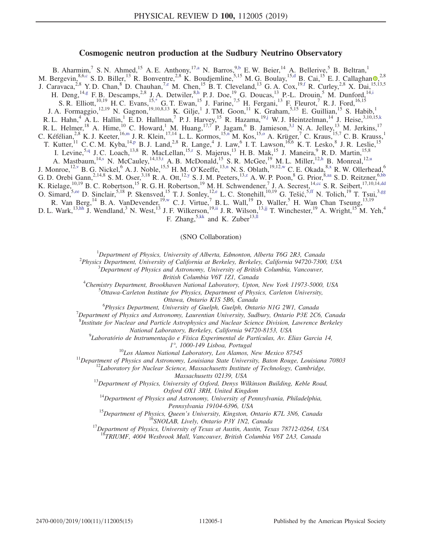# Cosmogenic neutron production at the Sudbury Neutrino Observatory

<span id="page-0-12"></span><span id="page-0-11"></span><span id="page-0-10"></span><span id="page-0-9"></span><span id="page-0-8"></span><span id="page-0-7"></span><span id="page-0-6"></span><span id="page-0-5"></span><span id="page-0-4"></span><span id="page-0-2"></span><span id="page-0-1"></span><span id="page-0-0"></span>B. Aharmim, S. N. Ahmed, <sup>15</sup> A. E. Anthony, <sup>17[,a](#page-1-0)</sup> N. Barros, <sup>9[,b](#page-1-1)</sup> E. W. Beier, <sup>14</sup> A. Bellerive, <sup>5</sup> B. Beltran, <sup>1</sup> M. Bergevin,  $8,6,\text{c}$  S. D. Biller,  $^{13}$  R. Bonventre,  $^{2,8}$  K. Boudjemline,  $^{5,15}$  M. G. Boulay,  $^{15, d}$  B. Cai,  $^{15}$  E. J. Callaghan  $\odot$ ,  $^{2,8}$ J. Caravaca,<sup>2,8</sup> Y. D. Chan,<sup>8</sup> D. Chauhan,<sup>[7,e](#page-1-4)</sup> M. Chen,<sup>15</sup> B. T. Cleveland,<sup>13</sup> G. A. Cox,<sup>19[,f](#page-1-5)</sup> R. Curley,<sup>2,8</sup> X. Dai,<sup>15,13,5</sup> H. Deng,<sup>14[,g](#page-1-6)</sup> F. B. Descamps,<sup>2,8</sup> J. A. Detwiler,<sup>[8,h](#page-1-7)</sup> P. J. Doe,<sup>19</sup> G. Doucas,<sup>13</sup> P.-L. Drouin,<sup>5</sup> M. Dunford,<sup>1[4,i](#page-1-8)</sup> S. R. Elliott,<sup>10,19</sup> H. C. Evans,<sup>1[5,\\*](#page-1-9)</sup> G. T. Ewan,<sup>15</sup> J. Farine,<sup>7,5</sup> H. Fergani,<sup>13</sup> F. Fleurot,<sup>7</sup> R. J. Ford,<sup>16,15</sup> J. A. Formaggio,<sup>12,19</sup> N. Gagnon,<sup>19,10,8,13</sup> K. Gilje,<sup>1</sup> J. TM. Goon,<sup>11</sup> K. Graham,<sup>5,15</sup> E. Guillian,<sup>15</sup> S. Habib,<sup>1</sup> R. L. Hahn,<sup>4</sup> A. L. Hallin,<sup>1</sup> E. D. Hallman,<sup>7</sup> P. J. Harvey,<sup>15</sup> R. Hazama,<sup>19[,j](#page-1-10)</sup> W. J. Heintzelman,<sup>14</sup> J. Heise,<sup>3,10,15[,k](#page-1-11)</sup> R. L. Helmer,  $^{18}$  A. Hime,  $^{10}$  C. Howard,  $^{1}$  M. Huang,  $^{17,7}$  P. Jagam,  $^{6}$  B. Jamieson,  $^{3,1}$  N. A. Jelley,  $^{13}$  M. Jerkins,  $^{17}$ C. Kéfélian,<sup>2,8</sup> K. J. Keeter,<sup>16[,m](#page-1-13)</sup> J. R. Klein,<sup>17,14</sup> L. L. Kormos,<sup>15[,n](#page-1-14)</sup> M. Kos,<sup>15,0</sup> A. Krüger,<sup>7</sup> C. Kraus,<sup>15,7</sup> C. B. Krauss,<sup>1</sup> T. Kutter,  $^{11}$  C. C. M. Kyba,  $^{14,p}$  $^{14,p}$  $^{14,p}$  B. J. Land,  $^{2,8}$  R. Lange,  $^{4}$  J. Law,  $^{6}$  I. T. Lawson,  $^{16,6}$  K. T. Lesko,  $^{8}$  J. R. Leslie,  $^{15}$ I. Levine,<sup>5[,q](#page-1-17)</sup> J. C. Loach,<sup>13,8</sup> R. MacLellan,<sup>15[,r](#page-1-18)</sup> S. Majerus,<sup>13</sup> H. B. Mak,<sup>15</sup> J. Maneira,<sup>9</sup> R. D. Martin,<sup>15,8</sup> A. Mastbaum,  $^{14, s}$  N. McCauley,  $^{14, 13, t}$  A. B. McDonald,  $^{15}$  S. R. McGee,  $^{19}$  M. L. Miller,  $^{12, h}$  B. Monreal,  $^{12, u}$ J. Monroe,<sup>1[2,v](#page-1-22)</sup> B. G. Nickel,<sup>6</sup> A. J. Noble,<sup>15,5</sup> H. M. O'Keeffe,<sup>1[3,n](#page-1-14)</sup> N. S. Oblath,<sup>19,1[2,w](#page-1-23)</sup> C. E. Okada,<sup>[8,x](#page-1-24)</sup> R. W. Ollerhead,<sup>6</sup> G. D. Orebi Gann,  $^{2,14,8}$  S. M. Oser,  $^{3,18}$  R. A. Ott,  $^{12,y}$  $^{12,y}$  $^{12,y}$  S. J. M. Peeters,  $^{13,z}$  $^{13,z}$  $^{13,z}$  A. W. P. Poon,  $^8$  G. Prior,  $^{8,aa}$  $^{8,aa}$  $^{8,aa}$  S. D. Reitzner,  $^{6,bb}$  $^{6,bb}$  $^{6,bb}$ K. Rielage,  $^{10,19}$  B. C. Robertson,  $^{15}$  R. G. H. Robertson,  $^{19}$  M. H. Schwendener,  $^7$  J. A. Secrest,  $^{14,cc}$  $^{14,cc}$  $^{14,cc}$  S. R. Seibert,  $^{17,10,14,dd}$  $^{17,10,14,dd}$  $^{17,10,14,dd}$ O. Simard,<sup>5[,ee](#page-1-31)</sup> D. Sinclair,<sup>5,18</sup> P. Skensved,<sup>15</sup> T. J. Sonley,<sup>12[,e](#page-1-4)</sup> L. C. Stonehill,<sup>10,19</sup> G. Tešić,<sup>[5,ff](#page-1-32)</sup> N. Tolich,<sup>19</sup> T. Tsui,<sup>3[,gg](#page-1-33)</sup> R. Van Berg,  $^{14}$  B. A. VanDevender,  $^{19,w}$  $^{19,w}$  $^{19,w}$  C. J. Virtue,  $^{7}$  B. L. Wall,  $^{19}$  D. Waller,  $^{5}$  H. Wan Chan Tseung,  $^{13,19}$ D. L. Wark,<sup>1[3,hh](#page-1-34)</sup> J. Wendland,<sup>3</sup> N. West,<sup>13</sup> J. F. Wilkerson,<sup>19[,ii](#page-1-35)</sup> J. R. Wilson,<sup>1[3,jj](#page-1-36)</sup> T. Winchester,<sup>19</sup> A. Wright,<sup>15</sup> M. Yeh,<sup>4</sup> F. Zhang,  $5, kk$  and K. Zuber<sup>13,11</sup>

(SNO Collaboration)

<span id="page-0-17"></span><span id="page-0-16"></span><span id="page-0-15"></span><span id="page-0-14"></span><span id="page-0-13"></span><span id="page-0-3"></span><sup>1</sup>Department of Physics, University of Alberta, Edmonton, Alberta T6G 2R3, Canada<br><sup>2</sup>Physics Department, University of California at Perkelay, Parkelay, California 04720, 7300

 $^{2}$ Physics Department, University of California at Berkeley, Berkeley, California 94720-7300, USA

 $3$ Department of Physics and Astronomy, University of British Columbia, Vancouver,

British Columbia V6T 1Z1, Canada<br><sup>4</sup>Chamistry Danastmant, Brookhayan National Laboratory, Unton Chemistry Department, Brookhaven National Laboratory, Upton, New York 11973-5000, USA<br>5 Ottawa Carleton Institute for Physics, Department of Physics, Carleton University

<sup>5</sup>Ottawa-Carleton Institute for Physics, Department of Physics, Carleton University,

Ottawa, Ontario K1S 5B6, Canada<br><sup>6</sup> Physics Department, University of Cuelph Cuelph Onta

Physics Department, University of Guelph, Guelph, Ontario N1G 2W1, Canada<sup>7</sup><br>Penartment of Physics and Astronomy Laurentian University Sudbury Ontario P3E 2Ct

 $\nabla^7$ Department of Physics and Astronomy, Laurentian University, Sudbury, Ontario P3E 2C6, Canada

<sup>8</sup>Institute for Nuclear and Particle Astrophysics and Nuclear Science Division, Lawrence Berkeley

National Laboratory, Berkeley, California 94720-8153, USA <sup>9</sup>

<sup>9</sup>Laboratório de Instrumentação e Física Experimental de Partículas, Av. Elias Garcia 14,<br>1<sup>o</sup>, 1000-149 Lisboa, Portugal

<sup>10</sup>Los Alamos National Laboratory, Los Alamos, New Mexico 87545<br><sup>11</sup>Department of Physics and Astronomy, Louisiana State University, Baton Rouge, Louisiana 70803<br><sup>12</sup>Laboratory for Nuclear Science, Massachusetts Institut

Massachusetts 02139, USA<br><sup>13</sup>Department of Physics, University of Oxford, Denys Wilkinson Building, Keble Road,

 $Ox$  Oxford OX1 3RH, United Kingdom<br><sup>14</sup>Department of Physics and Astronomy, University of Pennsylvania, Philadelphia,

Pennsylvania 19104-6396, USA<br><sup>15</sup>Department of Physics, Queen's University, Kingston, Ontario K7L 3N6, Canada<br><sup>16</sup>SNOLAB, Lively, Ontario P3Y 1N2, Canada<sup>17</sup>Department of Physics, University of Texas at Austin, Austin, Tex

 $18^8$ TRIUMF, 4004 Wesbrook Mall, Vancouver, British Columbia V6T 2A3, Canada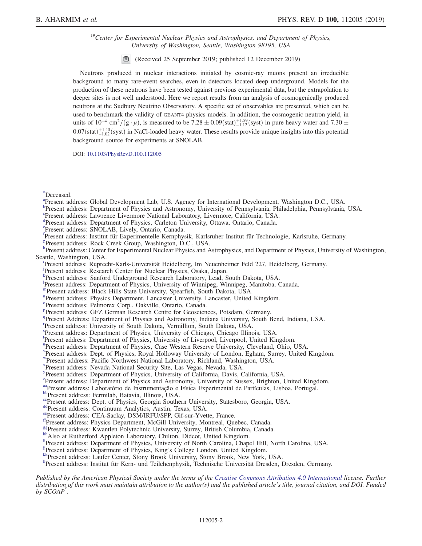$19$ Center for Experimental Nuclear Physics and Astrophysics, and Department of Physics, University of Washington, Seattle, Washington 98195, USA

(Received 25 September 2019; published 12 December 2019)

Neutrons produced in nuclear interactions initiated by cosmic-ray muons present an irreducible background to many rare-event searches, even in detectors located deep underground. Models for the production of these neutrons have been tested against previous experimental data, but the extrapolation to deeper sites is not well understood. Here we report results from an analysis of cosmogenically produced neutrons at the Sudbury Neutrino Observatory. A specific set of observables are presented, which can be used to benchmark the validity of GEANT4 physics models. In addition, the cosmogenic neutron yield, in units of  $10^{-4}$  cm<sup>2</sup>/(g · μ), is measured to be 7.28  $\pm$  0.09(stat)<sup>+1.59</sup>(syst) in pure heavy water and 7.30  $\pm$  $0.07(stat)^{+1.40}_{-1.02}$  (syst) in NaCl-loaded heavy water. These results provide unique insights into this potential background source for experiments at SNOLAB.

DOI: [10.1103/PhysRevD.100.112005](https://doi.org/10.1103/PhysRevD.100.112005)

<span id="page-1-9"></span>[\\*](#page-0-0) Deceased.

- <span id="page-1-1"></span><sup>[b](#page-0-1)</sup>Present address: Department of Physics and Astronomy, University of Pennsylvania, Philadelphia, Pennsylvania, USA.
- <span id="page-1-2"></span>[c](#page-0-2) Present address: Lawrence Livermore National Laboratory, Livermore, California, USA.
- <span id="page-1-3"></span><sup>[d](#page-0-2)</sup>Present address: Department of Physics, Carleton University, Ottawa, Ontario, Canada.
- <span id="page-1-4"></span>[e](#page-0-3) Present address: SNOLAB, Lively, Ontario, Canada.
- <span id="page-1-5"></span>[f](#page-0-4) Present address: Institut für Experimentelle Kernphysik, Karlsruher Institut für Technologie, Karlsruhe, Germany.

<span id="page-1-6"></span>[g](#page-0-5) Present address: Rock Creek Group, Washington, D.C., USA.

- <span id="page-1-10"></span><span id="page-1-8"></span>Present address: Ruprecht-Karls-Universität Heidelberg, Im Neuenheimer Feld 227, Heidelberg, Germany.
- Present address: Research Center for Nuclear Physics, Osaka, Japan.
- <span id="page-1-11"></span>[k](#page-0-7) Present address: Sanford Underground Research Laboratory, Lead, South Dakota, USA.
- <span id="page-1-12"></span>Present address: Department of Physics, University of Winnipeg, Winnipeg, Manitoba, Canada.
- <span id="page-1-13"></span>[m](#page-0-9)Present address: Black Hills State University, Spearfish, South Dakota, USA.
- <span id="page-1-14"></span><sup>[n](#page-0-10)</sup>Present address: Physics Department, Lancaster University, Lancaster, United Kingdom.
- <span id="page-1-15"></span>[o](#page-0-9) Present address: Pelmorex Corp., Oakville, Ontario, Canada.
- <span id="page-1-16"></span>PPresent address: GFZ German Research Centre for Geosciences, Potsdam, Germany.
- <span id="page-1-17"></span><sup>[q](#page-0-12)</sup>Present Address: Department of Physics and Astronomy, Indiana University, South Bend, Indiana, USA.
- <span id="page-1-18"></span>[r](#page-0-12) Present address: University of South Dakota, Vermillion, South Dakota, USA.
- <span id="page-1-19"></span>[s](#page-0-6) Present address: Department of Physics, University of Chicago, Chicago Illinois, USA.
- <span id="page-1-20"></span>[t](#page-0-6) Present address: Department of Physics, University of Liverpool, Liverpool, United Kingdom.
- <span id="page-1-21"></span><s[u](#page-0-6)p>u</sup>Present address: Department of Physics, Case Western Reserve University, Cleveland, Ohio, USA.
- <span id="page-1-22"></span>[v](#page-0-10) Present address: Dept. of Physics, Royal Holloway University of London, Egham, Surrey, United Kingdom.
- <span id="page-1-23"></span>[w](#page-0-13)Present address: Pacific Northwest National Laboratory, Richland, Washington, USA.
- <span id="page-1-24"></span>[x](#page-0-10) Present address: Nevada National Security Site, Las Vegas, Nevada, USA.
- <span id="page-1-25"></span>[y](#page-0-14) Present address: Department of Physics, University of California, Davis, California, USA.
- <span id="page-1-26"></span><sup>[z](#page-0-14)</sup>Present address: Department of Physics and Astronomy, University of Sussex, Brighton, United Kingdom.
- <span id="page-1-28"></span><span id="page-1-27"></span><sup>[aa](#page-0-14)</sup>Present address: Laboratório de Instrumentação e Física Experimental de Partículas, Lisboa, Portugal.<br><sup>bb</sup>Present address: Fermilab, Batavia, Illinois, USA.<br><sup>[cc](#page-0-15)</sup>Present address: Dept. of Physics, Georgia Southern Unive
- 
- <span id="page-1-29"></span>
- <span id="page-1-31"></span><span id="page-1-30"></span>
- <span id="page-1-32"></span>
- <span id="page-1-33"></span>
- 
- <span id="page-1-35"></span>
- <span id="page-1-34"></span>hh Also at Rutherford Appleton Laboratory, Chilton, Didcot, United Kingdom.<br>
"Present address: Department of Physics, University of North Carolina, Chapel Hill, North Carolina, USA.<br>
"Present address: Department of Physics
- <span id="page-1-36"></span>
- 

<span id="page-1-38"></span><span id="page-1-37"></span><sup>kk</sup> Present address: Laufer Center, Stony Brook University, Stony Brook, New York, USA.<br><sup>Il</sup> Present address: Institut für Kern- und Teilchenphysik, Technische Universität Dresden, Dresden, Germany.

Published by the American Physical Society under the terms of the [Creative Commons Attribution 4.0 International](https://creativecommons.org/licenses/by/4.0/) license. Further distribution of this work must maintain attribution to the author(s) and the published article's title, journal citation, and DOI. Funded by  $SCOAP<sup>3</sup>$ .

<span id="page-1-0"></span><sup>&</sup>lt;sup>[a](#page-0-1)</sup>Present address: Global Development Lab, U.S. Agency for International Development, Washington D.C., USA.

<span id="page-1-7"></span><sup>&</sup>lt;sup>[h](#page-0-6)</sup>Present address: Center for Experimental Nuclear Physics and Astrophysics, and Department of Physics, University of Washington, Seattle, Wash[i](#page-0-5)ngton, USA.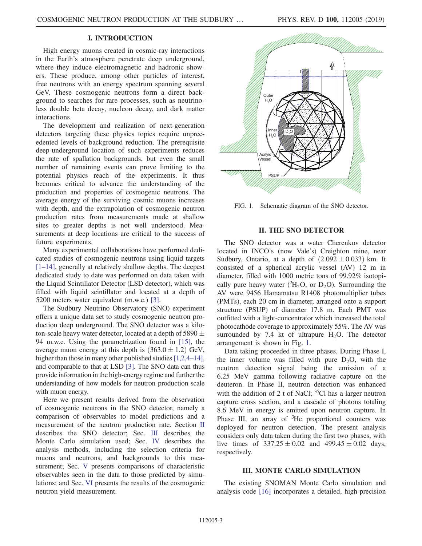# I. INTRODUCTION

High energy muons created in cosmic-ray interactions in the Earth's atmosphere penetrate deep underground, where they induce electromagnetic and hadronic showers. These produce, among other particles of interest, free neutrons with an energy spectrum spanning several GeV. These cosmogenic neutrons form a direct background to searches for rare processes, such as neutrinoless double beta decay, nucleon decay, and dark matter interactions.

The development and realization of next-generation detectors targeting these physics topics require unprecedented levels of background reduction. The prerequisite deep-underground location of such experiments reduces the rate of spallation backgrounds, but even the small number of remaining events can prove limiting to the potential physics reach of the experiments. It thus becomes critical to advance the understanding of the production and properties of cosmogenic neutrons. The average energy of the surviving cosmic muons increases with depth, and the extrapolation of cosmogenic neutron production rates from measurements made at shallow sites to greater depths is not well understood. Measurements at deep locations are critical to the success of future experiments.

Many experimental collaborations have performed dedicated studies of cosmogenic neutrons using liquid targets [1–[14\],](#page-14-0) generally at relatively shallow depths. The deepest dedicated study to date was performed on data taken with the Liquid Scintillator Detector (LSD detector), which was filled with liquid scintillator and located at a depth of 5200 meters water equivalent (m.w.e.) [\[3\].](#page-14-1)

The Sudbury Neutrino Observatory (SNO) experiment offers a unique data set to study cosmogenic neutron production deep underground. The SNO detector was a kiloton-scale heavy water detector, located at a depth of 5890  $\pm$ 94 m.w.e. Using the parametrization found in [\[15\],](#page-14-2) the average muon energy at this depth is  $(363.0 \pm 1.2)$  GeV, higher than those in many other published studies [\[1,2,4](#page-14-0)–14], and comparable to that at LSD [\[3\]](#page-14-1). The SNO data can thus provide information in the high-energy regime and further the understanding of how models for neutron production scale with muon energy.

Here we present results derived from the observation of cosmogenic neutrons in the SNO detector, namely a comparison of observables to model predictions and a measurement of the neutron production rate. Section [II](#page-2-0) describes the SNO detector; Sec. [III](#page-2-1) describes the Monte Carlo simulation used; Sec. [IV](#page-3-0) describes the analysis methods, including the selection criteria for muons and neutrons, and backgrounds to this measurement; Sec. [V](#page-7-0) presents comparisons of characteristic observables seen in the data to those predicted by simulations; and Sec. [VI](#page-12-0) presents the results of the cosmogenic neutron yield measurement.

<span id="page-2-2"></span>

FIG. 1. Schematic diagram of the SNO detector.

## II. THE SNO DETECTOR

<span id="page-2-0"></span>The SNO detector was a water Cherenkov detector located in INCO's (now Vale's) Creighton mine, near Sudbury, Ontario, at a depth of  $(2.092 \pm 0.033)$  km. It consisted of a spherical acrylic vessel (AV) 12 m in diameter, filled with 1000 metric tons of 99.92% isotopically pure heavy water ( ${}^{2}H_{2}O$ , or  $D_{2}O$ ). Surrounding the AV were 9456 Hamamatsu R1408 photomultiplier tubes (PMTs), each 20 cm in diameter, arranged onto a support structure (PSUP) of diameter 17.8 m. Each PMT was outfitted with a light-concentrator which increased the total photocathode coverage to approximately 55%. The AV was surrounded by 7.4 kt of ultrapure  $H_2O$ . The detector arrangement is shown in Fig. [1.](#page-2-2)

Data taking proceeded in three phases. During Phase I, the inner volume was filled with pure  $D_2O$ , with the neutron detection signal being the emission of a 6.25 MeV gamma following radiative capture on the deuteron. In Phase II, neutron detection was enhanced with the addition of 2 t of NaCl;  ${}^{35}$ Cl has a larger neutron capture cross section, and a cascade of photons totaling 8.6 MeV in energy is emitted upon neutron capture. In Phase III, an array of  ${}^{3}$ He proportional counters was deployed for neutron detection. The present analysis considers only data taken during the first two phases, with live times of  $337.25 \pm 0.02$  and  $499.45 \pm 0.02$  days, respectively.

## III. MONTE CARLO SIMULATION

<span id="page-2-1"></span>The existing SNOMAN Monte Carlo simulation and analysis code [\[16\]](#page-14-3) incorporates a detailed, high-precision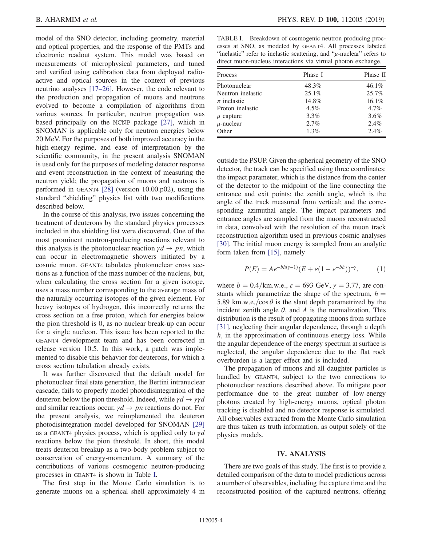model of the SNO detector, including geometry, material and optical properties, and the response of the PMTs and electronic readout system. This model was based on measurements of microphysical parameters, and tuned and verified using calibration data from deployed radioactive and optical sources in the context of previous neutrino analyses [\[17](#page-14-4)–26]. However, the code relevant to the production and propagation of muons and neutrons evolved to become a compilation of algorithms from various sources. In particular, neutron propagation was based principally on the MCNP package [\[27\],](#page-14-5) which in SNOMAN is applicable only for neutron energies below 20 MeV. For the purposes of both improved accuracy in the high-energy regime, and ease of interpretation by the scientific community, in the present analysis SNOMAN is used only for the purposes of modeling detector response and event reconstruction in the context of measuring the neutron yield; the propagation of muons and neutrons is performed in GEANT4 [\[28\]](#page-14-6) (version 10.00.p02), using the standard "shielding" physics list with two modifications described below.

In the course of this analysis, two issues concerning the treatment of deuterons by the standard physics processes included in the shielding list were discovered. One of the most prominent neutron-producing reactions relevant to this analysis is the photonuclear reaction  $\gamma d \to pn$ , which can occur in electromagnetic showers initiated by a cosmic muon. GEANT4 tabulates photonuclear cross sections as a function of the mass number of the nucleus, but, when calculating the cross section for a given isotope, uses a mass number corresponding to the average mass of the naturally occurring isotopes of the given element. For heavy isotopes of hydrogen, this incorrectly returns the cross section on a free proton, which for energies below the pion threshold is 0, as no nuclear break-up can occur for a single nucleon. This issue has been reported to the GEANT4 development team and has been corrected in release version 10.5. In this work, a patch was implemented to disable this behavior for deuterons, for which a cross section tabulation already exists.

It was further discovered that the default model for photonuclear final state generation, the Bertini intranuclear cascade, fails to properly model photodisintegration of the deuteron below the pion threshold. Indeed, while  $\gamma d \rightarrow \gamma \gamma d$ and similar reactions occur,  $\gamma d \to pn$  reactions do not. For the present analysis, we reimplemented the deuteron photodisintegration model developed for SNOMAN [\[29\]](#page-14-7) as a GEANT4 physics process, which is applied only to  $\gamma d$ reactions below the pion threshold. In short, this model treats deuteron breakup as a two-body problem subject to conservation of energy-momentum. A summary of the contributions of various cosmogenic neutron-producing processes in GEANT4 is shown in Table [I.](#page-3-1)

The first step in the Monte Carlo simulation is to generate muons on a spherical shell approximately 4 m

<span id="page-3-1"></span>TABLE I. Breakdown of cosmogenic neutron producing processes at SNO, as modeled by GEANT4. All processes labeled "inelastic" refer to inelastic scattering, and " $\mu$ -nuclear" refers to direct muon-nucleus interactions via virtual photon exchange.

| Process           | Phase I  | Phase II |
|-------------------|----------|----------|
| Photonuclear      | 48.3%    | $46.1\%$ |
| Neutron inelastic | $25.1\%$ | 25.7%    |
| $\pi$ inelastic   | 14.8%    | 16.1%    |
| Proton inelastic  | $4.5\%$  | $4.7\%$  |
| $\mu$ capture     | 3.3%     | $3.6\%$  |
| $\mu$ -nuclear    | 2.7%     | $2.4\%$  |
| Other             | $1.3\%$  | 2.4%     |

outside the PSUP. Given the spherical geometry of the SNO detector, the track can be specified using three coordinates: the impact parameter, which is the distance from the center of the detector to the midpoint of the line connecting the entrance and exit points; the zenith angle, which is the angle of the track measured from vertical; and the corresponding azimuthal angle. The impact parameters and entrance angles are sampled from the muons reconstructed in data, convolved with the resolution of the muon track reconstruction algorithm used in previous cosmic analyses [\[30\]](#page-14-8). The initial muon energy is sampled from an analytic form taken from [\[15\],](#page-14-2) namely

$$
P(E)=Ae^{-bh(\gamma-1)}(E+\varepsilon(1-e^{-bh}))^{-\gamma}, \qquad \quad (1)
$$

where  $b = 0.4$ /km.w.e.,  $\varepsilon = 693$  GeV,  $\gamma = 3.77$ , are constants which parametrize the shape of the spectrum,  $h =$ 5.89 km.w.e./ $\cos \theta$  is the slant depth parametrized by the incident zenith angle  $\theta$ , and A is the normalization. This distribution is the result of propagating muons from surface [\[31\]](#page-14-9), neglecting their angular dependence, through a depth  $h$ , in the approximation of continuous energy loss. While the angular dependence of the energy spectrum at surface is neglected, the angular dependence due to the flat rock overburden is a larger effect and is included.

The propagation of muons and all daughter particles is handled by GEANT4, subject to the two corrections to photonuclear reactions described above. To mitigate poor performance due to the great number of low-energy photons created by high-energy muons, optical photon tracking is disabled and no detector response is simulated. All observables extracted from the Monte Carlo simulation are thus taken as truth information, as output solely of the physics models.

#### IV. ANALYSIS

<span id="page-3-0"></span>There are two goals of this study. The first is to provide a detailed comparison of the data to model predictions across a number of observables, including the capture time and the reconstructed position of the captured neutrons, offering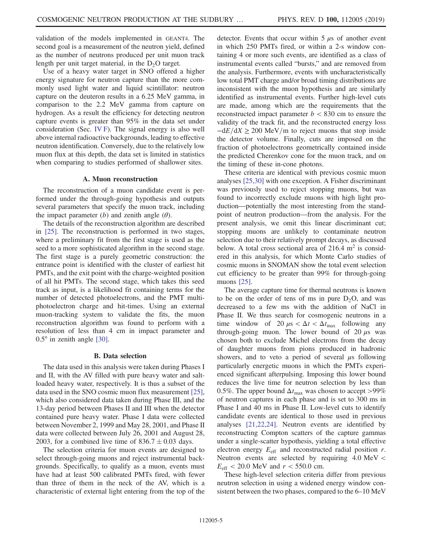validation of the models implemented in GEANT4. The second goal is a measurement of the neutron yield, defined as the number of neutrons produced per unit muon track length per unit target material, in the  $D<sub>2</sub>O$  target.

Use of a heavy water target in SNO offered a higher energy signature for neutron capture than the more commonly used light water and liquid scintillator: neutron capture on the deuteron results in a 6.25 MeV gamma, in comparison to the 2.2 MeV gamma from capture on hydrogen. As a result the efficiency for detecting neutron capture events is greater than 95% in the data set under consideration (Sec. [IV F\)](#page-6-0). The signal energy is also well above internal radioactive backgrounds, leading to effective neutron identification. Conversely, due to the relatively low muon flux at this depth, the data set is limited in statistics when comparing to studies performed of shallower sites.

### A. Muon reconstruction

The reconstruction of a muon candidate event is performed under the through-going hypothesis and outputs several parameters that specify the muon track, including the impact parameter (b) and zenith angle  $(\theta)$ .

The details of the reconstruction algorithm are described in [\[25\]](#page-14-10). The reconstruction is performed in two stages, where a preliminary fit from the first stage is used as the seed to a more sophisticated algorithm in the second stage. The first stage is a purely geometric construction: the entrance point is identified with the cluster of earliest hit PMTs, and the exit point with the charge-weighted position of all hit PMTs. The second stage, which takes this seed track as input, is a likelihood fit containing terms for the number of detected photoelectrons, and the PMT multiphotoelectron charge and hit-times. Using an external muon-tracking system to validate the fits, the muon reconstruction algorithm was found to perform with a resolution of less than 4 cm in impact parameter and 0.5° in zenith angle [\[30\]](#page-14-8).

#### B. Data selection

<span id="page-4-0"></span>The data used in this analysis were taken during Phases I and II, with the AV filled with pure heavy water and saltloaded heavy water, respectively. It is thus a subset of the data used in the SNO cosmic muon flux measurement [\[25\]](#page-14-10), which also considered data taken during Phase III, and the 13-day period between Phases II and III when the detector contained pure heavy water. Phase I data were collected between November 2, 1999 and May 28, 2001, and Phase II data were collected between July 26, 2001 and August 28, 2003, for a combined live time of  $836.7 \pm 0.03$  days.

The selection criteria for muon events are designed to select through-going muons and reject instrumental backgrounds. Specifically, to qualify as a muon, events must have had at least 500 calibrated PMTs fired, with fewer than three of them in the neck of the AV, which is a characteristic of external light entering from the top of the detector. Events that occur within  $5 \mu s$  of another event in which 250 PMTs fired, or within a 2-s window containing 4 or more such events, are identified as a class of instrumental events called "bursts," and are removed from the analysis. Furthermore, events with uncharacteristically low total PMT charge and/or broad timing distributions are inconsistent with the muon hypothesis and are similarly identified as instrumental events. Further high-level cuts are made, among which are the requirements that the reconstructed impact parameter  $b < 830$  cm to ensure the validity of the track fit, and the reconstructed energy loss  $-dE/dX \geq 200$  MeV/m to reject muons that stop inside the detector volume. Finally, cuts are imposed on the fraction of photoelectrons geometrically contained inside the predicted Cherenkov cone for the muon track, and on the timing of these in-cone photons.

These criteria are identical with previous cosmic muon analyses [\[25,30\]](#page-14-10) with one exception. A Fisher discriminant was previously used to reject stopping muons, but was found to incorrectly exclude muons with high light production—potentially the most interesting from the standpoint of neutron production—from the analysis. For the present analysis, we omit this linear discriminant cut; stopping muons are unlikely to contaminate neutron selection due to their relatively prompt decays, as discussed below. A total cross sectional area of  $216.4 \text{ m}^2$  is considered in this analysis, for which Monte Carlo studies of cosmic muons in SNOMAN show the total event selection cut efficiency to be greater than 99% for through-going muons [\[25\].](#page-14-10)

The average capture time for thermal neutrons is known to be on the order of tens of ms in pure  $D_2O$ , and was decreased to a few ms with the addition of NaCl in Phase II. We thus search for cosmogenic neutrons in a time window of 20  $\mu$ s <  $\Delta t$  <  $\Delta t$ <sub>max</sub> following any through-going muon. The lower bound of  $20 \mu s$  was chosen both to exclude Michel electrons from the decay of daughter muons from pions produced in hadronic showers, and to veto a period of several  $\mu$ s following particularly energetic muons in which the PMTs experienced significant afterpulsing. Imposing this lower bound reduces the live time for neutron selection by less than 0.5%. The upper bound  $\Delta t_{\text{max}}$  was chosen to accept >99% of neutron captures in each phase and is set to 300 ms in Phase I and 40 ms in Phase II. Low-level cuts to identify candidate events are identical to those used in previous analyses [\[21,22,24\]](#page-14-11). Neutron events are identified by reconstructing Compton scatters of the capture gammas under a single-scatter hypothesis, yielding a total effective electron energy  $E_{\text{eff}}$  and reconstructed radial position r. Neutron events are selected by requiring 4.0 MeV <  $E_{\text{eff}}$  < 20.0 MeV and  $r$  < 550.0 cm.

These high-level selection criteria differ from previous neutron selection in using a widened energy window consistent between the two phases, compared to the 6–10 MeV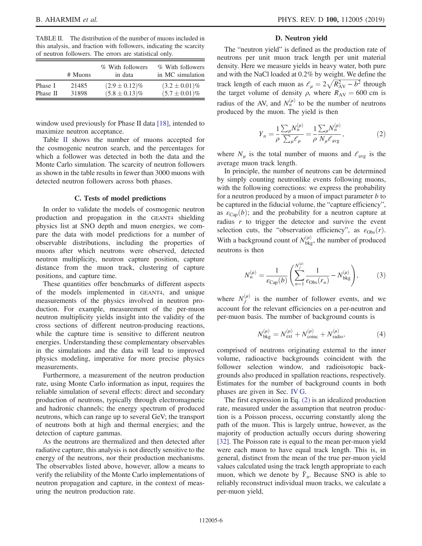B. AHARMIM *et al. PHYS. REV. D* 100, 112005 (2019)

<span id="page-5-0"></span>TABLE II. The distribution of the number of muons included in this analysis, and fraction with followers, indicating the scarcity of neutron followers. The errors are statistical only.

|          | # Muons | % With followers<br>in data | % With followers<br>in MC simulation |
|----------|---------|-----------------------------|--------------------------------------|
| Phase I  | 21485   | $(2.9 \pm 0.12)\%$          | $(3.2 \pm 0.01)\%$                   |
| Phase II | 31898   | $(5.8 \pm 0.13)\%$          | $(5.7 \pm 0.01)\%$                   |

window used previously for Phase II data [\[18\]](#page-14-12), intended to maximize neutron acceptance.

Table [II](#page-5-0) shows the number of muons accepted for the cosmogenic neutron search, and the percentages for which a follower was detected in both the data and the Monte Carlo simulation. The scarcity of neutron followers as shown in the table results in fewer than 3000 muons with detected neutron followers across both phases.

### C. Tests of model predictions

In order to validate the models of cosmogenic neutron production and propagation in the GEANT4 shielding physics list at SNO depth and muon energies, we compare the data with model predictions for a number of observable distributions, including the properties of muons after which neutrons were observed, detected neutron multiplicity, neutron capture position, capture distance from the muon track, clustering of capture positions, and capture time.

These quantities offer benchmarks of different aspects of the models implemented in GEANT4, and unique measurements of the physics involved in neutron production. For example, measurement of the per-muon neutron multiplicity yields insight into the validity of the cross sections of different neutron-producing reactions, while the capture time is sensitive to different neutron energies. Understanding these complementary observables in the simulations and the data will lead to improved physics modeling, imperative for more precise physics measurements.

Furthermore, a measurement of the neutron production rate, using Monte Carlo information as input, requires the reliable simulation of several effects: direct and secondary production of neutrons, typically through electromagnetic and hadronic channels; the energy spectrum of produced neutrons, which can range up to several GeV; the transport of neutrons both at high and thermal energies; and the detection of capture gammas.

As the neutrons are thermalized and then detected after radiative capture, this analysis is not directly sensitive to the energy of the neutrons, nor their production mechanisms. The observables listed above, however, allow a means to verify the reliability of the Monte Carlo implementations of neutron propagation and capture, in the context of measuring the neutron production rate.

### D. Neutron yield

The "neutron yield" is defined as the production rate of neutrons per unit muon track length per unit material density. Here we measure yields in heavy water, both pure and with the NaCl loaded at 0.2% by weight. We define the track length of each muon as  $\ell_{\mu} = 2\sqrt{R_{AV}^2 - b^2}$  through the target volume of density  $\rho$ , where  $R_{AV} = 600$  cm is radius of the AV, and  $N_n^{(\mu)}$  to be the number of neutrons produced by the muon. The yield is then

<span id="page-5-1"></span>
$$
Y_{n} = \frac{1}{\rho} \frac{\sum_{\mu} N_{n}^{(\mu)}}{\sum_{\mu} \ell_{\mu}} = \frac{1}{\rho} \frac{\sum_{\mu} N_{n}^{(\mu)}}{N_{\mu} \ell_{\text{avg}}},
$$
(2)

where  $N_{\mu}$  is the total number of muons and  $\ell_{\text{avg}}$  is the average muon track length.

In principle, the number of neutrons can be determined by simply counting neutronlike events following muons, with the following corrections: we express the probability for a neutron produced by a muon of impact parameter  $b$  to be captured in the fiducial volume, the "capture efficiency", as  $\varepsilon_{\text{Cap}}(b)$ ; and the probability for a neutron capture at radius  $r$  to trigger the detector and survive the event selection cuts, the "observation efficiency", as  $\varepsilon_{\text{Obs}}(r)$ . With a background count of  $N_{\text{bkg}}^{(\mu)}$ , the number of produced neutrons is then

<span id="page-5-2"></span>
$$
N_n^{(\mu)} = \frac{1}{\varepsilon_{\text{Cap}}(b)} \left( \sum_{n=1}^{N_f^{(\mu)}} \frac{1}{\varepsilon_{\text{Obs}}(r_n)} - N_{\text{bkg}}^{(\mu)} \right),\tag{3}
$$

where  $N_f^{(\mu)}$  is the number of follower events, and we account for the relevant efficiencies on a per-neutron and per-muon basis. The number of background counts is

$$
N_{\text{bkg}}^{(\mu)} = N_{\text{ext}}^{(\mu)} + N_{\text{coinc}}^{(\mu)} + N_{\text{radio}}^{(\mu)},\tag{4}
$$

comprised of neutrons originating external to the inner volume, radioactive backgrounds coincident with the follower selection window, and radioisotopic backgrounds also produced in spallation reactions, respectively. Estimates for the number of background counts in both phases are given in Sec. [IV G](#page-6-1).

<span id="page-5-3"></span>The first expression in Eq. [\(2\)](#page-5-1) is an idealized production rate, measured under the assumption that neutron production is a Poisson process, occurring constantly along the path of the muon. This is largely untrue, however, as the majority of production actually occurs during showering [\[32\]](#page-14-13). The Poisson rate is equal to the mean per-muon yield were each muon to have equal track length. This is, in general, distinct from the mean of the true per-muon yield values calculated using the track length appropriate to each muon, which we denote by  $\bar{Y}_n$ . Because SNO is able to reliably reconstruct individual muon tracks, we calculate a per-muon yield,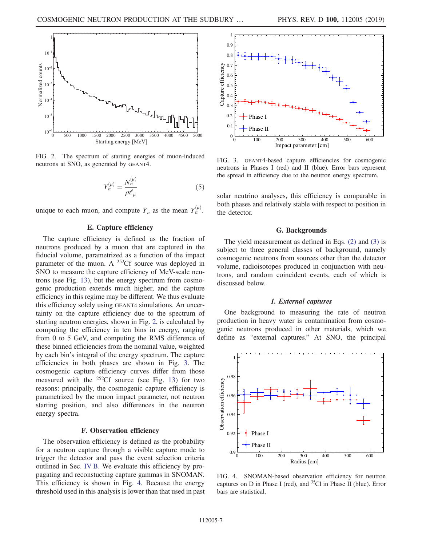<span id="page-6-2"></span>

FIG. 2. The spectrum of starting energies of muon-induced neutrons at SNO, as generated by GEANT4.

$$
Y_n^{(\mu)} = \frac{N_n^{(\mu)}}{\rho \mathcal{C}_{\mu}} \tag{5}
$$

unique to each muon, and compute  $\bar{Y}_n$  as the mean  $Y_n^{(\mu)}$ .

## E. Capture efficiency

The capture efficiency is defined as the fraction of neutrons produced by a muon that are captured in the fiducial volume, parametrized as a function of the impact parameter of the muon. A <sup>252</sup>Cf source was deployed in SNO to measure the capture efficiency of MeV-scale neutrons (see Fig. [13\)](#page-12-1), but the energy spectrum from cosmogenic production extends much higher, and the capture efficiency in this regime may be different. We thus evaluate this efficiency solely using GEANT4 simulations. An uncertainty on the capture efficiency due to the spectrum of starting neutron energies, shown in Fig. [2](#page-6-2), is calculated by computing the efficiency in ten bins in energy, ranging from 0 to 5 GeV, and computing the RMS difference of these binned efficiencies from the nominal value, weighted by each bin's integral of the energy spectrum. The capture efficiencies in both phases are shown in Fig. [3](#page-6-3). The cosmogenic capture efficiency curves differ from those measured with the  $252CF$  source (see Fig. [13\)](#page-12-1) for two reasons: principally, the cosmogenic capture efficiency is parametrized by the muon impact parameter, not neutron starting position, and also differences in the neutron energy spectra.

### F. Observation efficiency

<span id="page-6-0"></span>The observation efficiency is defined as the probability for a neutron capture through a visible capture mode to trigger the detector and pass the event selection criteria outlined in Sec. [IV B](#page-4-0). We evaluate this efficiency by propagating and reconstucting capture gammas in SNOMAN. This efficiency is shown in Fig. [4](#page-6-4). Because the energy threshold used in this analysis is lower than that used in past

<span id="page-6-3"></span>

FIG. 3. GEANT4-based capture efficiencies for cosmogenic neutrons in Phases I (red) and II (blue). Error bars represent the spread in efficiency due to the neutron energy spectrum.

solar neutrino analyses, this efficiency is comparable in both phases and relatively stable with respect to position in the detector.

#### G. Backgrounds

<span id="page-6-1"></span>The yield measurement as defined in Eqs. [\(2\)](#page-5-1) and [\(3\)](#page-5-2) is subject to three general classes of background, namely cosmogenic neutrons from sources other than the detector volume, radioisotopes produced in conjunction with neutrons, and random coincident events, each of which is discussed below.

#### 1. External captures

One background to measuring the rate of neutron production in heavy water is contamination from cosmogenic neutrons produced in other materials, which we define as "external captures." At SNO, the principal

<span id="page-6-4"></span>

FIG. 4. SNOMAN-based observation efficiency for neutron captures on D in Phase I (red), and  ${}^{35}Cl$  in Phase II (blue). Error bars are statistical.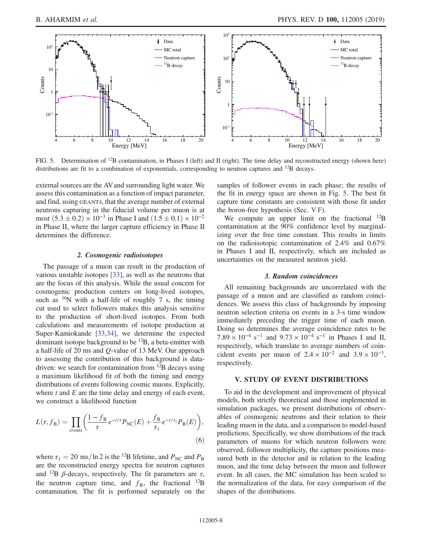<span id="page-7-1"></span>

FIG. 5. Determination of <sup>12</sup>B contamination, in Phases I (left) and II (right). The time delay and reconstructed energy (shown here) distributions are fit to a combination of exponentials, corresponding to neutron captures and <sup>12</sup>B decays.

external sources are the AVand surrounding light water. We assess this contamination as a function of impact parameter, and find, using GEANT4, that the average number of external neutrons capturing in the fiducial volume per muon is at most  $(5.3 \pm 0.2) \times 10^{-3}$  in Phase I and  $(1.5 \pm 0.1) \times 10^{-2}$ in Phase II, where the larger capture efficiency in Phase II determines the difference.

#### 2. Cosmogenic radioisotopes

The passage of a muon can result in the production of various unstable isotopes [\[33\]](#page-14-14), as well as the neutrons that are the focus of this analysis. While the usual concern for cosmogenic production centers on long-lived isotopes, such as  $16N$  with a half-life of roughly 7 s, the timing cut used to select followers makes this analysis sensitive to the production of short-lived isotopes. From both calculations and measurements of isotope production at Super-Kamiokande [\[33,34\],](#page-14-14) we determine the expected dominant isotope background to be  ${}^{12}B$ , a beta-emitter with a half-life of 20 ms and Q-value of 13 MeV. Our approach to assessing the contribution of this background is datadriven: we search for contamination from  $^{12}B$  decays using a maximum likelihood fit of both the timing and energy distributions of events following cosmic muons. Explicitly, where  $t$  and  $E$  are the time delay and energy of each event, we construct a likelihood function

$$
L(\tau, f_B) = \prod_{\text{events}} \left( \frac{1 - f_B}{\tau} e^{-t/\tau} P_{\text{NC}}(E) + \frac{f_B}{\tau_1} e^{-t/\tau_1} P_B(E) \right),\tag{6}
$$

where  $\tau_1 = 20 \text{ ms} / \ln 2$  is the <sup>12</sup>B lifetime, and P<sub>NC</sub> and P<sub>B</sub> are the reconstructed energy spectra for neutron captures and <sup>12</sup>B  $\beta$ -decays, respectively. The fit parameters are  $\tau$ , the neutron capture time, and  $f_B$ , the fractional <sup>12</sup>B contamination. The fit is performed separately on the samples of follower events in each phase; the results of the fit in energy space are shown in Fig. [5](#page-7-1). The best fit capture time constants are consistent with those fit under the boron-free hypothesis (Sec. [V F\)](#page-11-0).

We compute an upper limit on the fractional  $^{12}B$ contamination at the 90% confidence level by marginalizing over the free time constant. This results in limits on the radioisotopic contamination of 2.4% and 0.67% in Phases I and II, respectively, which are included as uncertainties on the measured neutron yield.

#### 3. Random coincidences

All remaining backgrounds are uncorrelated with the passage of a muon and are classified as random coincidences. We assess this class of backgrounds by imposing neutron selection criteria on events in a 3-s time window immediately preceding the trigger time of each muon. Doing so determines the average coincidence rates to be 7.89 × 10<sup>-4</sup> s<sup>-1</sup> and 9.73 × 10<sup>-4</sup> s<sup>-1</sup> in Phases I and II, respectively, which translate to average numbers of coincident events per muon of  $2.4 \times 10^{-2}$  and  $3.9 \times 10^{-3}$ , respectively.

## V. STUDY OF EVENT DISTRIBUTIONS

<span id="page-7-0"></span>To aid in the development and improvement of physical models, both strictly theoretical and those implemented in simulation packages, we present distributions of observables of cosmogenic neutrons and their relation to their leading muon in the data, and a comparison to model-based predictions. Specifically, we show distributions of the track parameters of muons for which neutron followers were observed, follower multiplicity, the capture positions measured both in the detector and in relation to the leading muon, and the time delay between the muon and follower event. In all cases, the MC simulation has been scaled to the normalization of the data, for easy comparison of the shapes of the distributions.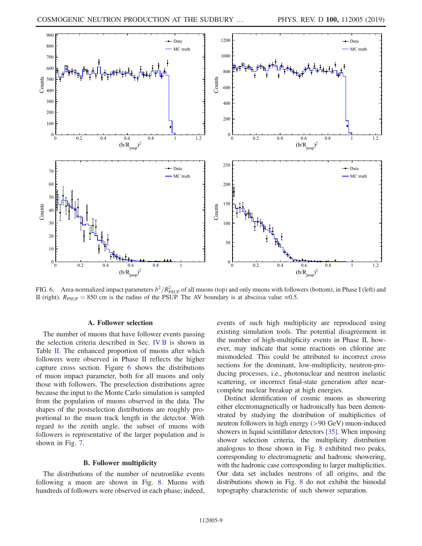<span id="page-8-0"></span>

FIG. 6. Area-normalized impact parameters  $b^2/R_{\text{PSUP}}^2$  of all muons (top) and only muons with followers (bottom), in Phase I (left) and II (right).  $R_{\text{PSUP}} = 850$  cm is the radius of the PSUP. The AV boundary is at abscissa value  $\approx 0.5$ .

## A. Follower selection

The number of muons that have follower events passing the selection criteria described in Sec. [IV B](#page-4-0) is shown in Table [II.](#page-5-0) The enhanced proportion of muons after which followers were observed in Phase II reflects the higher capture cross section. Figure [6](#page-8-0) shows the distributions of muon impact parameter, both for all muons and only those with followers. The preselection distributions agree because the input to the Monte Carlo simulation is sampled from the population of muons observed in the data. The shapes of the postselection distributions are roughly proportional to the muon track length in the detector. With regard to the zenith angle, the subset of muons with followers is representative of the larger population and is shown in Fig. [7.](#page-9-0)

## B. Follower multiplicity

The distributions of the number of neutronlike events following a muon are shown in Fig. [8](#page-9-1). Muons with hundreds of followers were observed in each phase; indeed, events of such high multiplicity are reproduced using existing simulation tools. The potential disagreement in the number of high-multiplicity events in Phase II, however, may indicate that some reactions on chlorine are mismodeled. This could be attributed to incorrect cross sections for the dominant, low-multiplicity, neutron-producing processes, i.e., photonuclear and neutron inelastic scattering, or incorrect final-state generation after nearcomplete nuclear breakup at high energies.

Distinct identification of cosmic muons as showering either electromagnetically or hadronically has been demonstrated by studying the distribution of multiplicities of neutron followers in high energy (>90 GeV) muon-induced showers in liquid scintillator detectors [\[35\]](#page-14-15). When imposing shower selection criteria, the multiplicity distribution analogous to those shown in Fig. [8](#page-9-1) exhibited two peaks, corresponding to electromagnetic and hadronic showering, with the hadronic case corresponding to larger multiplicities. Our data set includes neutrons of all origins, and the distributions shown in Fig. [8](#page-9-1) do not exhibit the bimodal topography characteristic of such shower separation.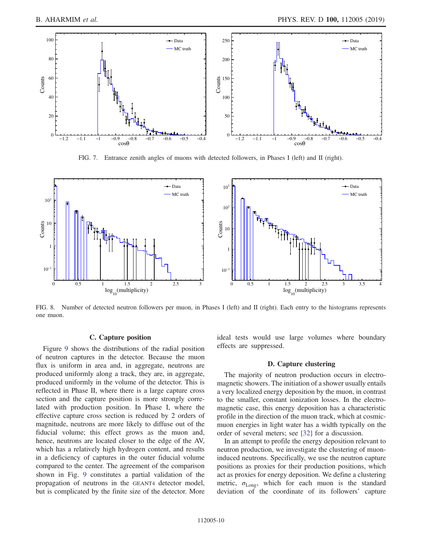<span id="page-9-0"></span>

FIG. 7. Entrance zenith angles of muons with detected followers, in Phases I (left) and II (right).

<span id="page-9-1"></span>

FIG. 8. Number of detected neutron followers per muon, in Phases I (left) and II (right). Each entry to the histograms represents one muon.

## C. Capture position

Figure [9](#page-10-0) shows the distributions of the radial position of neutron captures in the detector. Because the muon flux is uniform in area and, in aggregate, neutrons are produced uniformly along a track, they are, in aggregate, produced uniformly in the volume of the detector. This is reflected in Phase II, where there is a large capture cross section and the capture position is more strongly correlated with production position. In Phase I, where the effective capture cross section is reduced by 2 orders of magnitude, neutrons are more likely to diffuse out of the fiducial volume; this effect grows as the muon and, hence, neutrons are located closer to the edge of the AV, which has a relatively high hydrogen content, and results in a deficiency of captures in the outer fiducial volume compared to the center. The agreement of the comparison shown in Fig. [9](#page-10-0) constitutes a partial validation of the propagation of neutrons in the GEANT4 detector model, but is complicated by the finite size of the detector. More ideal tests would use large volumes where boundary effects are suppressed.

#### D. Capture clustering

The majority of neutron production occurs in electromagnetic showers. The initiation of a shower usually entails a very localized energy deposition by the muon, in contrast to the smaller, constant ionization losses. In the electromagnetic case, this energy deposition has a characteristic profile in the direction of the muon track, which at cosmicmuon energies in light water has a width typically on the order of several meters; see [\[32\]](#page-14-13) for a discussion.

In an attempt to profile the energy deposition relevant to neutron production, we investigate the clustering of muoninduced neutrons. Specifically, we use the neutron capture positions as proxies for their production positions, which act as proxies for energy deposition. We define a clustering metric,  $\sigma_{\text{Long}}$ , which for each muon is the standard deviation of the coordinate of its followers' capture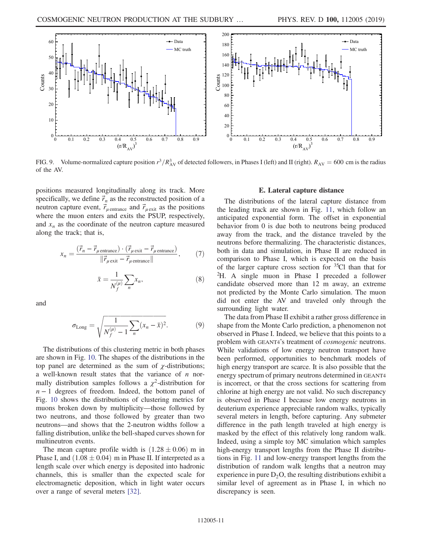<span id="page-10-0"></span>

FIG. 9. Volume-normalized capture position  $r^3/R_{AV}^3$  of detected followers, in Phases I (left) and II (right).  $R_{AV} = 600$  cm is the radius of the AV.

positions measured longitudinally along its track. More specifically, we define  $\vec{r}_n$  as the reconstructed position of a neutron capture event,  $\vec{r}_{\mu \text{ entrance}}$  and  $\vec{r}_{\mu \text{exit}}$  as the positions where the muon enters and exits the PSUP, respectively, and  $x_n$  as the coordinate of the neutron capture measured along the track; that is,

$$
x_n = \frac{(\vec{r}_n - \vec{r}_{\mu \text{ entrance}}) \cdot (\vec{r}_{\mu \text{ exit}} - \vec{r}_{\mu \text{ entrance}})}{||\vec{r}_{\mu \text{ exit}} - \vec{r}_{\mu \text{ entrance}}||},\qquad(7)
$$

$$
\bar{x} = \frac{1}{N_f^{(\mu)}} \sum_n x_n,\tag{8}
$$

and

$$
\sigma_{\text{Long}} = \sqrt{\frac{1}{N_f^{(\mu)} - 1} \sum_n (x_n - \bar{x})^2}.
$$
 (9)

The distributions of this clustering metric in both phases are shown in Fig. [10.](#page-11-1) The shapes of the distributions in the top panel are determined as the sum of  $\chi$ -distributions; a well-known result states that the variance of  $n$  normally distribution samples follows a  $\chi^2$ -distribution for  $n-1$  degrees of freedom. Indeed, the bottom panel of Fig. [10](#page-11-1) shows the distributions of clustering metrics for muons broken down by multiplicity—those followed by two neutrons, and those followed by greater than two neutrons—and shows that the 2-neutron widths follow a falling distribution, unlike the bell-shaped curves shown for multineutron events.

The mean capture profile width is  $(1.28 \pm 0.06)$  m in Phase I, and  $(1.08 \pm 0.04)$  m in Phase II. If interpreted as a length scale over which energy is deposited into hadronic channels, this is smaller than the expected scale for electromagnetic deposition, which in light water occurs over a range of several meters [\[32\]](#page-14-13).

#### E. Lateral capture distance

The distributions of the lateral capture distance from the leading track are shown in Fig. [11,](#page-11-2) which follow an anticipated exponential form. The offset in exponential behavior from 0 is due both to neutrons being produced away from the track, and the distance traveled by the neutrons before thermalizing. The characteristic distances, both in data and simulation, in Phase II are reduced in comparison to Phase I, which is expected on the basis of the larger capture cross section for <sup>35</sup>Cl than that for <sup>2</sup>H. A single muon in Phase I preceded a follower candidate observed more than 12 m away, an extreme not predicted by the Monte Carlo simulation. The muon did not enter the AV and traveled only through the surrounding light water.

The data from Phase II exhibit a rather gross difference in shape from the Monte Carlo prediction, a phenomenon not observed in Phase I. Indeed, we believe that this points to a problem with GEANT4's treatment of cosmogenic neutrons. While validations of low energy neutron transport have been performed, opportunities to benchmark models of high energy transport are scarce. It is also possible that the energy spectrum of primary neutrons determined in GEANT4 is incorrect, or that the cross sections for scattering from chlorine at high energy are not valid. No such discrepancy is observed in Phase I because low energy neutrons in deuterium experience appreciable random walks, typically several meters in length, before capturing. Any submeter difference in the path length traveled at high energy is masked by the effect of this relatively long random walk. Indeed, using a simple toy MC simulation which samples high-energy transport lengths from the Phase II distributions in Fig. [11](#page-11-2) and low-energy transport lengths from the distribution of random walk lengths that a neutron may experience in pure  $D_2O$ , the resulting distributions exhibit a similar level of agreement as in Phase I, in which no discrepancy is seen.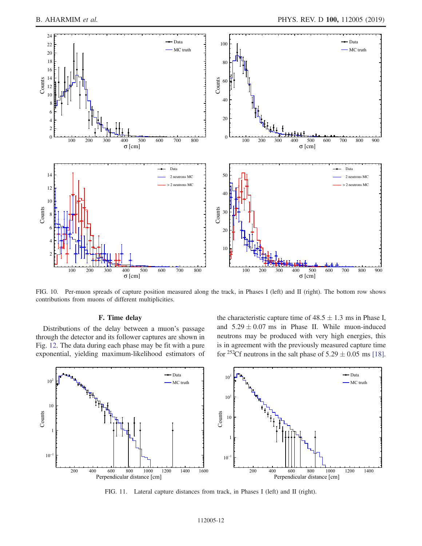<span id="page-11-1"></span>

FIG. 10. Per-muon spreads of capture position measured along the track, in Phases I (left) and II (right). The bottom row shows contributions from muons of different multiplicities.

## F. Time delay

<span id="page-11-0"></span>Distributions of the delay between a muon's passage through the detector and its follower captures are shown in Fig. [12.](#page-12-2) The data during each phase may be fit with a pure exponential, yielding maximum-likelihood estimators of

the characteristic capture time of  $48.5 \pm 1.3$  ms in Phase I, and  $5.29 \pm 0.07$  ms in Phase II. While muon-induced neutrons may be produced with very high energies, this is in agreement with the previously measured capture time for <sup>252</sup>Cf neutrons in the salt phase of  $5.29 \pm 0.05$  ms [\[18\]](#page-14-12).

<span id="page-11-2"></span>

FIG. 11. Lateral capture distances from track, in Phases I (left) and II (right).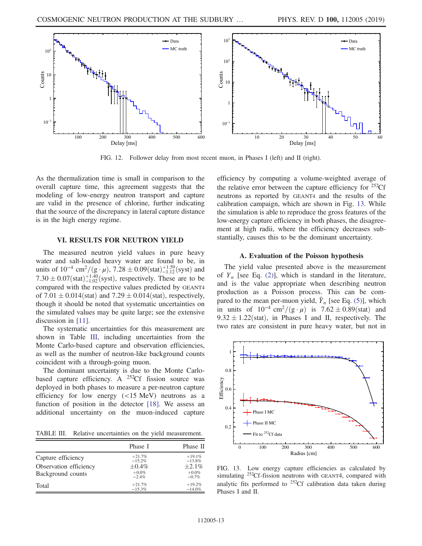<span id="page-12-2"></span>

FIG. 12. Follower delay from most recent muon, in Phases I (left) and II (right).

As the thermalization time is small in comparison to the overall capture time, this agreement suggests that the modeling of low-energy neutron transport and capture are valid in the presence of chlorine, further indicating that the source of the discrepancy in lateral capture distance is in the high energy regime.

#### VI. RESULTS FOR NEUTRON YIELD

<span id="page-12-0"></span>The measured neutron yield values in pure heavy water and salt-loaded heavy water are found to be, in units of  $10^{-4}$  cm<sup>2</sup>/(g· $\mu$ ), 7.28 ± 0.09(stat)<sup>+1.59</sup>(syst) and  $7.30 \pm 0.07(\text{stat})_{-1.02}^{+1.40}(\text{syst})$ , respectively. These are to be compared with the respective values predicted by GEANT4 of  $7.01 \pm 0.014$ (stat) and  $7.29 \pm 0.014$ (stat), respectively, though it should be noted that systematic uncertainties on the simulated values may be quite large; see the extensive discussion in [\[11\]](#page-14-16).

The systematic uncertainties for this measurement are shown in Table [III](#page-12-3), including uncertainties from the Monte Carlo-based capture and observation efficiencies, as well as the number of neutron-like background counts coincident with a through-going muon.

The dominant uncertainty is due to the Monte Carlobased capture efficiency. A  $^{252}$ Cf fission source was deployed in both phases to measure a per-neutron capture efficiency for low energy (<15 MeV) neutrons as a function of position in the detector [\[18\]](#page-14-12). We assess an additional uncertainty on the muon-induced capture

<span id="page-12-3"></span>TABLE III. Relative uncertainties on the yield measurement.

|                        | Phase I              | Phase II             |
|------------------------|----------------------|----------------------|
| Capture efficiency     | $+21.7%$<br>$-15.2%$ | $+19.1%$<br>$-13.8%$ |
| Observation efficiency | $\pm 0.4\%$          | $+2.1\%$             |
| Background counts      | $+0.0\%$<br>$-2.4\%$ | $+0.0\%$<br>$-0.7\%$ |
| Total                  | $+21.7%$<br>$-15.3%$ | $+19.2%$<br>$-14.0%$ |

efficiency by computing a volume-weighted average of the relative error between the capture efficiency for  $252 \text{C}$ f neutrons as reported by GEANT4 and the results of the calibration campaign, which are shown in Fig. [13](#page-12-1). While the simulation is able to reproduce the gross features of the low-energy capture efficiency in both phases, the disagreement at high radii, where the efficiency decreases substantially, causes this to be the dominant uncertainty.

#### A. Evaluation of the Poisson hypothesis

The yield value presented above is the measurement of  $Y_n$  [see Eq. [\(2\)\]](#page-5-1), which is standard in the literature, and is the value appropriate when describing neutron production as a Poisson process. This can be compared to the mean per-muon yield,  $\bar{Y}_n$  [see Eq. [\(5\)\]](#page-5-3), which in units of  $10^{-4}$  cm<sup>2</sup>/(g ·  $\mu$ ) is 7.62  $\pm$  0.89(stat) and  $9.32 \pm 1.22$ (stat), in Phases I and II, respectively. The two rates are consistent in pure heavy water, but not in

<span id="page-12-1"></span>

FIG. 13. Low energy capture efficiencies as calculated by simulating <sup>252</sup>Cf-fission neutrons with GEANT4, compared with analytic fits performed to  $252 \text{C}$ f calibration data taken during Phases I and II.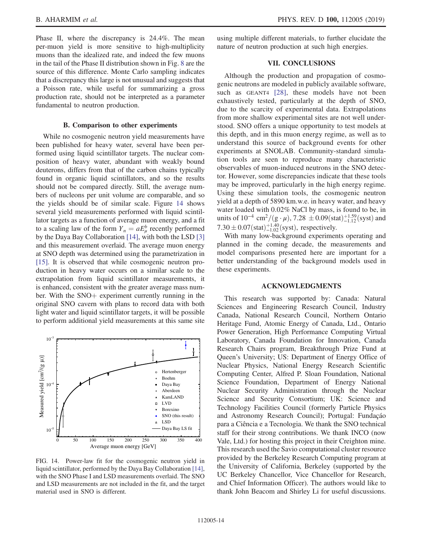Phase II, where the discrepancy is 24.4%. The mean per-muon yield is more sensitive to high-multiplicity muons than the idealized rate, and indeed the few muons in the tail of the Phase II distribution shown in Fig. [8](#page-9-1) are the source of this difference. Monte Carlo sampling indicates that a discrepancy this large is not unusual and suggests that a Poisson rate, while useful for summarizing a gross production rate, should not be interpreted as a parameter fundamental to neutron production.

### B. Comparison to other experiments

While no cosmogenic neutron yield measurements have been published for heavy water, several have been performed using liquid scintillator targets. The nuclear composition of heavy water, abundant with weakly bound deuterons, differs from that of the carbon chains typically found in organic liquid scintillators, and so the results should not be compared directly. Still, the average numbers of nucleons per unit volume are comparable, and so the yields should be of similar scale. Figure [14](#page-13-0) shows several yield measurements performed with liquid scintillator targets as a function of average muon energy, and a fit to a scaling law of the form  $Y_n = aE^b_\mu$  recently performed by the Daya Bay Collaboration [\[14\],](#page-14-17) with both the LSD [\[3\]](#page-14-1) and this measurement overlaid. The average muon energy at SNO depth was determined using the parametrization in [\[15\]](#page-14-2). It is observed that while cosmogenic neutron production in heavy water occurs on a similar scale to the extrapolation from liquid scintillator measurements, it is enhanced, consistent with the greater average mass number. With the  $SNO+$  experiment currently running in the original SNO cavern with plans to record data with both light water and liquid scintillator targets, it will be possible to perform additional yield measurements at this same site

<span id="page-13-0"></span>

FIG. 14. Power-law fit for the cosmogenic neutron yield in liquid scintillator, performed by the Daya Bay Collaboration [\[14\],](#page-14-17) with the SNO Phase I and LSD measurements overlaid. The SNO and LSD measurements are not included in the fit, and the target material used in SNO is different.

using multiple different materials, to further elucidate the nature of neutron production at such high energies.

### VII. CONCLUSIONS

Although the production and propagation of cosmogenic neutrons are modeled in publicly available software, such as GEANT4 [\[28\]](#page-14-6), these models have not been exhaustively tested, particularly at the depth of SNO, due to the scarcity of experimental data. Extrapolations from more shallow experimental sites are not well understood. SNO offers a unique opportunity to test models at this depth, and in this muon energy regime, as well as to understand this source of background events for other experiments at SNOLAB. Community-standard simulation tools are seen to reproduce many characteristic observables of muon-induced neutrons in the SNO detector. However, some discrepancies indicate that these tools may be improved, particularly in the high energy regime. Using these simulation tools, the cosmogenic neutron yield at a depth of 5890 km.w.e. in heavy water, and heavy water loaded with 0.02% NaCl by mass, is found to be, in units of  $10^{-4}$  cm<sup>2</sup>/(g· $\mu$ ), 7.28  $\pm$  0.09(stat)<sup>+1.59</sup>(syst) and  $7.30 \pm 0.07$ (stat) $^{+1.40}_{-1.02}$ (syst), respectively.

With many low-background experiments operating and planned in the coming decade, the measurements and model comparisons presented here are important for a better understanding of the background models used in these experiments.

## ACKNOWLEDGMENTS

This research was supported by: Canada: Natural Sciences and Engineering Research Council, Industry Canada, National Research Council, Northern Ontario Heritage Fund, Atomic Energy of Canada, Ltd., Ontario Power Generation, High Performance Computing Virtual Laboratory, Canada Foundation for Innovation, Canada Research Chairs program, Breakthrough Prize Fund at Queen's University; US: Department of Energy Office of Nuclear Physics, National Energy Research Scientific Computing Center, Alfred P. Sloan Foundation, National Science Foundation, Department of Energy National Nuclear Security Administration through the Nuclear Science and Security Consortium; UK: Science and Technology Facilities Council (formerly Particle Physics and Astronomy Research Council); Portugal: Fundaçáo para a Ciência e a Tecnologia. We thank the SNO technical staff for their strong contributions. We thank INCO (now Vale, Ltd.) for hosting this project in their Creighton mine. This research used the Savio computational cluster resource provided by the Berkeley Research Computing program at the University of California, Berkeley (supported by the UC Berkeley Chancellor, Vice Chancellor for Research, and Chief Information Officer). The authors would like to thank John Beacom and Shirley Li for useful discussions.